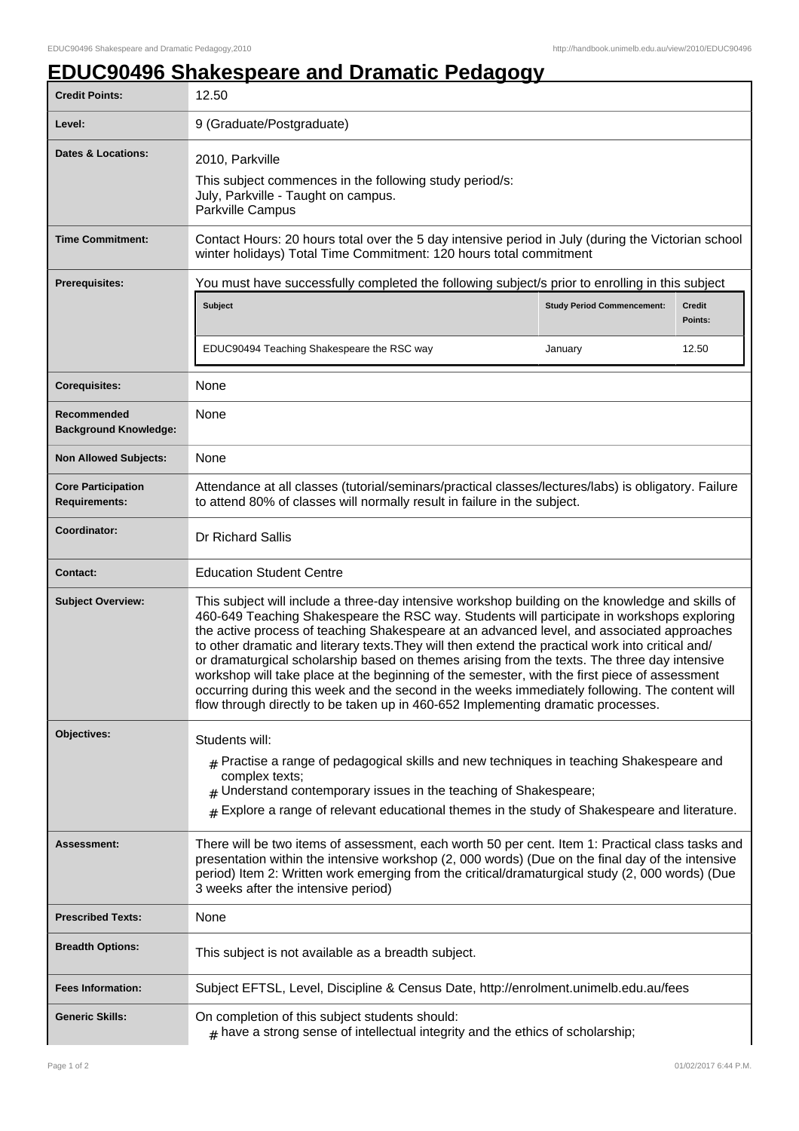## **EDUC90496 Shakespeare and Dramatic Pedagogy**

| <b>Credit Points:</b>                             | 12.50                                                                                                                                                                                                                                                                                                                                                                                                                                                                                                                                                                                                                                                                                                                                                                                    |                                   |                          |  |
|---------------------------------------------------|------------------------------------------------------------------------------------------------------------------------------------------------------------------------------------------------------------------------------------------------------------------------------------------------------------------------------------------------------------------------------------------------------------------------------------------------------------------------------------------------------------------------------------------------------------------------------------------------------------------------------------------------------------------------------------------------------------------------------------------------------------------------------------------|-----------------------------------|--------------------------|--|
| Level:                                            | 9 (Graduate/Postgraduate)                                                                                                                                                                                                                                                                                                                                                                                                                                                                                                                                                                                                                                                                                                                                                                |                                   |                          |  |
| <b>Dates &amp; Locations:</b>                     | 2010, Parkville<br>This subject commences in the following study period/s:<br>July, Parkville - Taught on campus.<br>Parkville Campus                                                                                                                                                                                                                                                                                                                                                                                                                                                                                                                                                                                                                                                    |                                   |                          |  |
| <b>Time Commitment:</b>                           | Contact Hours: 20 hours total over the 5 day intensive period in July (during the Victorian school<br>winter holidays) Total Time Commitment: 120 hours total commitment                                                                                                                                                                                                                                                                                                                                                                                                                                                                                                                                                                                                                 |                                   |                          |  |
| <b>Prerequisites:</b>                             | You must have successfully completed the following subject/s prior to enrolling in this subject                                                                                                                                                                                                                                                                                                                                                                                                                                                                                                                                                                                                                                                                                          |                                   |                          |  |
|                                                   | <b>Subject</b>                                                                                                                                                                                                                                                                                                                                                                                                                                                                                                                                                                                                                                                                                                                                                                           | <b>Study Period Commencement:</b> | <b>Credit</b><br>Points: |  |
|                                                   | EDUC90494 Teaching Shakespeare the RSC way                                                                                                                                                                                                                                                                                                                                                                                                                                                                                                                                                                                                                                                                                                                                               | January                           | 12.50                    |  |
| <b>Corequisites:</b>                              | None                                                                                                                                                                                                                                                                                                                                                                                                                                                                                                                                                                                                                                                                                                                                                                                     |                                   |                          |  |
| Recommended<br><b>Background Knowledge:</b>       | None                                                                                                                                                                                                                                                                                                                                                                                                                                                                                                                                                                                                                                                                                                                                                                                     |                                   |                          |  |
| <b>Non Allowed Subjects:</b>                      | None                                                                                                                                                                                                                                                                                                                                                                                                                                                                                                                                                                                                                                                                                                                                                                                     |                                   |                          |  |
| <b>Core Participation</b><br><b>Requirements:</b> | Attendance at all classes (tutorial/seminars/practical classes/lectures/labs) is obligatory. Failure<br>to attend 80% of classes will normally result in failure in the subject.                                                                                                                                                                                                                                                                                                                                                                                                                                                                                                                                                                                                         |                                   |                          |  |
| Coordinator:                                      | Dr Richard Sallis                                                                                                                                                                                                                                                                                                                                                                                                                                                                                                                                                                                                                                                                                                                                                                        |                                   |                          |  |
| <b>Contact:</b>                                   | <b>Education Student Centre</b>                                                                                                                                                                                                                                                                                                                                                                                                                                                                                                                                                                                                                                                                                                                                                          |                                   |                          |  |
| <b>Subject Overview:</b>                          | This subject will include a three-day intensive workshop building on the knowledge and skills of<br>460-649 Teaching Shakespeare the RSC way. Students will participate in workshops exploring<br>the active process of teaching Shakespeare at an advanced level, and associated approaches<br>to other dramatic and literary texts. They will then extend the practical work into critical and/<br>or dramaturgical scholarship based on themes arising from the texts. The three day intensive<br>workshop will take place at the beginning of the semester, with the first piece of assessment<br>occurring during this week and the second in the weeks immediately following. The content will<br>flow through directly to be taken up in 460-652 Implementing dramatic processes. |                                   |                          |  |
| Objectives:                                       | Students will:<br>$#$ Practise a range of pedagogical skills and new techniques in teaching Shakespeare and<br>complex texts;<br>$#$ Understand contemporary issues in the teaching of Shakespeare;<br>$_{\rm H}$ Explore a range of relevant educational themes in the study of Shakespeare and literature.                                                                                                                                                                                                                                                                                                                                                                                                                                                                             |                                   |                          |  |
| Assessment:                                       | There will be two items of assessment, each worth 50 per cent. Item 1: Practical class tasks and<br>presentation within the intensive workshop (2, 000 words) (Due on the final day of the intensive<br>period) Item 2: Written work emerging from the critical/dramaturgical study (2, 000 words) (Due<br>3 weeks after the intensive period)                                                                                                                                                                                                                                                                                                                                                                                                                                           |                                   |                          |  |
| <b>Prescribed Texts:</b>                          | None                                                                                                                                                                                                                                                                                                                                                                                                                                                                                                                                                                                                                                                                                                                                                                                     |                                   |                          |  |
| <b>Breadth Options:</b>                           | This subject is not available as a breadth subject.                                                                                                                                                                                                                                                                                                                                                                                                                                                                                                                                                                                                                                                                                                                                      |                                   |                          |  |
| <b>Fees Information:</b>                          | Subject EFTSL, Level, Discipline & Census Date, http://enrolment.unimelb.edu.au/fees                                                                                                                                                                                                                                                                                                                                                                                                                                                                                                                                                                                                                                                                                                     |                                   |                          |  |
| <b>Generic Skills:</b>                            | On completion of this subject students should:<br>$#$ have a strong sense of intellectual integrity and the ethics of scholarship;                                                                                                                                                                                                                                                                                                                                                                                                                                                                                                                                                                                                                                                       |                                   |                          |  |